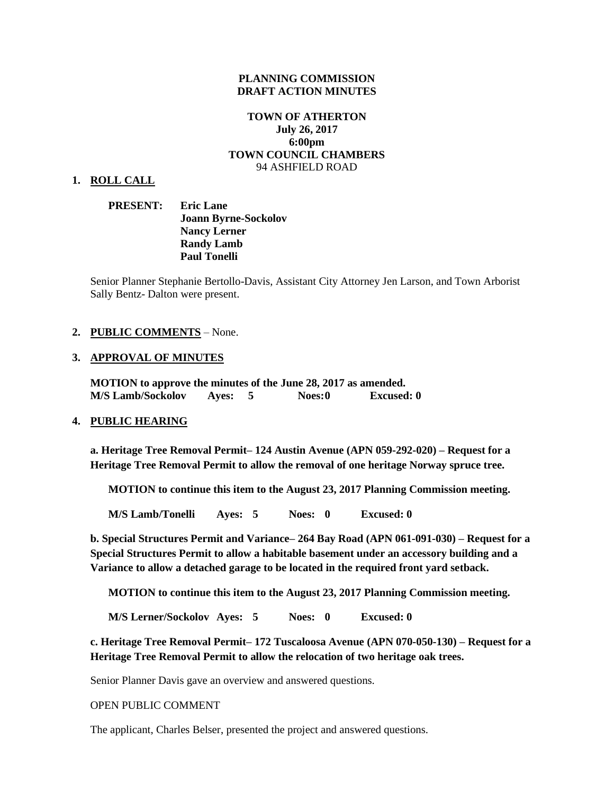#### **PLANNING COMMISSION DRAFT ACTION MINUTES**

# **TOWN OF ATHERTON July 26, 2017 6:00pm TOWN COUNCIL CHAMBERS** 94 ASHFIELD ROAD

#### **1. ROLL CALL**

**PRESENT: Eric Lane Joann Byrne-Sockolov Nancy Lerner Randy Lamb Paul Tonelli**

Senior Planner Stephanie Bertollo-Davis, Assistant City Attorney Jen Larson, and Town Arborist Sally Bentz- Dalton were present.

#### **2. PUBLIC COMMENTS** – None.

#### **3. APPROVAL OF MINUTES**

**MOTION to approve the minutes of the June 28, 2017 as amended. M/S Lamb/Sockolov Ayes: 5 Noes:0 Excused: 0**

#### **4. PUBLIC HEARING**

**a. Heritage Tree Removal Permit– 124 Austin Avenue (APN 059-292-020) – Request for a Heritage Tree Removal Permit to allow the removal of one heritage Norway spruce tree.** 

**MOTION to continue this item to the August 23, 2017 Planning Commission meeting.** 

**M/S Lamb/Tonelli Ayes: 5 Noes: 0 Excused: 0**

**b. Special Structures Permit and Variance– 264 Bay Road (APN 061-091-030) – Request for a Special Structures Permit to allow a habitable basement under an accessory building and a Variance to allow a detached garage to be located in the required front yard setback.** 

**MOTION to continue this item to the August 23, 2017 Planning Commission meeting.** 

**M/S Lerner/Sockolov Ayes: 5 Noes: 0 Excused: 0**

**c. Heritage Tree Removal Permit– 172 Tuscaloosa Avenue (APN 070-050-130) – Request for a Heritage Tree Removal Permit to allow the relocation of two heritage oak trees.** 

Senior Planner Davis gave an overview and answered questions.

OPEN PUBLIC COMMENT

The applicant, Charles Belser, presented the project and answered questions.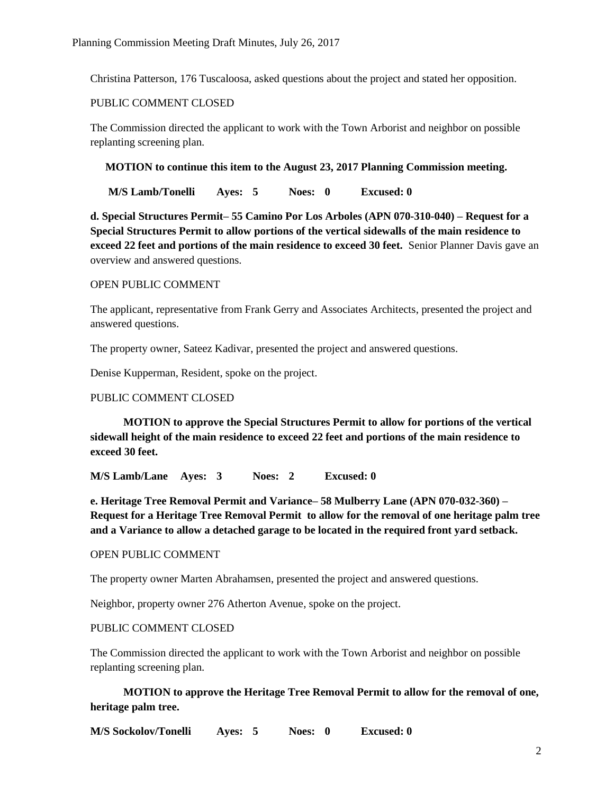Christina Patterson, 176 Tuscaloosa, asked questions about the project and stated her opposition.

### PUBLIC COMMENT CLOSED

The Commission directed the applicant to work with the Town Arborist and neighbor on possible replanting screening plan.

### **MOTION to continue this item to the August 23, 2017 Planning Commission meeting.**

**M/S Lamb/Tonelli Ayes: 5 Noes: 0 Excused: 0**

**d. Special Structures Permit– 55 Camino Por Los Arboles (APN 070-310-040) – Request for a Special Structures Permit to allow portions of the vertical sidewalls of the main residence to exceed 22 feet and portions of the main residence to exceed 30 feet.** Senior Planner Davis gave an overview and answered questions.

### OPEN PUBLIC COMMENT

The applicant, representative from Frank Gerry and Associates Architects, presented the project and answered questions.

The property owner, Sateez Kadivar, presented the project and answered questions.

Denise Kupperman, Resident, spoke on the project.

# PUBLIC COMMENT CLOSED

 **MOTION to approve the Special Structures Permit to allow for portions of the vertical sidewall height of the main residence to exceed 22 feet and portions of the main residence to exceed 30 feet.** 

**M/S Lamb/Lane Ayes: 3 Noes: 2 Excused: 0**

**e. Heritage Tree Removal Permit and Variance– 58 Mulberry Lane (APN 070-032-360) – Request for a Heritage Tree Removal Permit to allow for the removal of one heritage palm tree and a Variance to allow a detached garage to be located in the required front yard setback.** 

# OPEN PUBLIC COMMENT

The property owner Marten Abrahamsen, presented the project and answered questions.

Neighbor, property owner 276 Atherton Avenue, spoke on the project.

### PUBLIC COMMENT CLOSED

The Commission directed the applicant to work with the Town Arborist and neighbor on possible replanting screening plan.

 **MOTION to approve the Heritage Tree Removal Permit to allow for the removal of one, heritage palm tree.**

**M/S Sockolov/Tonelli Ayes: 5 Noes: 0 Excused: 0**